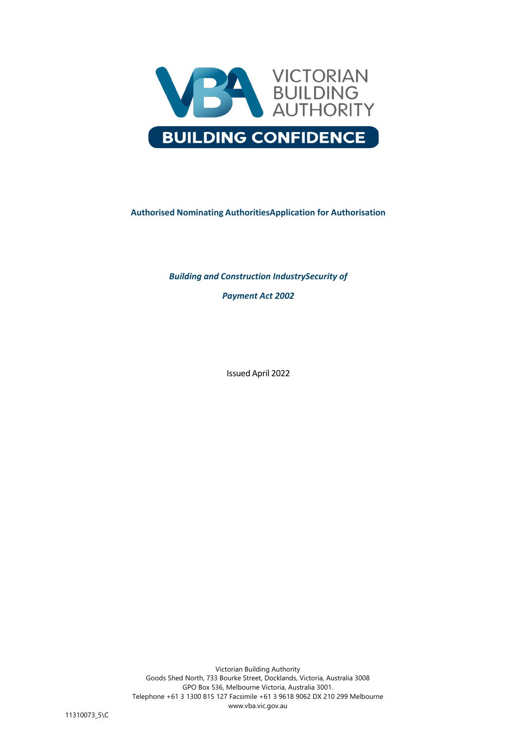

# **Authorised Nominating AuthoritiesApplication for Authorisation**

*Building and Construction IndustrySecurity of Payment Act 2002*

Issued April 2022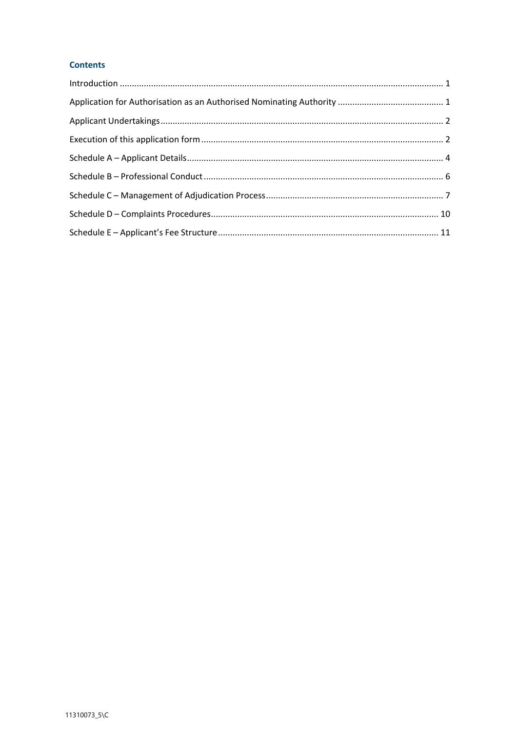# **Contents**

| $\label{eq:interoduction} \mbox{Introduction} \,\, \ldots \,\, \ldots \,\, \ldots \,\, \ldots \,\, \ldots \,\, \ldots \,\, \ldots \,\, \ldots \,\, \ldots \,\, \ldots \,\, \ldots \,\, \ldots \,\, \ldots \,\, \ldots \,\, \ldots \,\, \ldots \,\, \ldots \,\, \ldots \,\, \ldots \,\, \ldots \,\, \ldots \,\, \ldots \,\, \ldots \,\, \ldots \,\, \ldots \,\, \ldots \,\, \ldots \,\, \ldots \,\, \ldots \,\, \ldots \,\, \ldots \,\, \ldots \,\, \ldots \,\, \ldots \$ |  |
|--------------------------------------------------------------------------------------------------------------------------------------------------------------------------------------------------------------------------------------------------------------------------------------------------------------------------------------------------------------------------------------------------------------------------------------------------------------------------|--|
|                                                                                                                                                                                                                                                                                                                                                                                                                                                                          |  |
|                                                                                                                                                                                                                                                                                                                                                                                                                                                                          |  |
|                                                                                                                                                                                                                                                                                                                                                                                                                                                                          |  |
|                                                                                                                                                                                                                                                                                                                                                                                                                                                                          |  |
|                                                                                                                                                                                                                                                                                                                                                                                                                                                                          |  |
|                                                                                                                                                                                                                                                                                                                                                                                                                                                                          |  |
|                                                                                                                                                                                                                                                                                                                                                                                                                                                                          |  |
|                                                                                                                                                                                                                                                                                                                                                                                                                                                                          |  |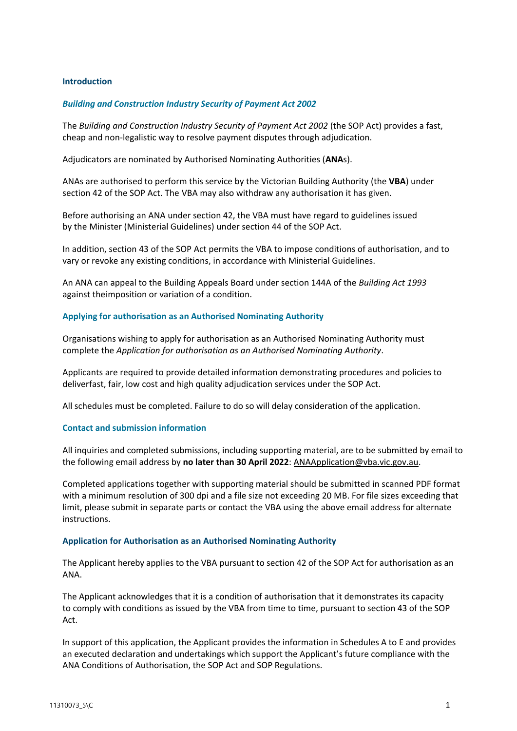## <span id="page-2-0"></span>**Introduction**

# *Building and Construction Industry Security of Payment Act 2002*

The *Building and Construction Industry Security of Payment Act 2002* (the SOP Act) provides a fast, cheap and non-legalistic way to resolve payment disputes through adjudication.

Adjudicators are nominated by Authorised Nominating Authorities (**ANA**s).

ANAs are authorised to perform this service by the Victorian Building Authority (the **VBA**) under section 42 of the SOP Act. The VBA may also withdraw any authorisation it has given.

Before authorising an ANA under section 42, the VBA must have regard to guidelines issued by the Minister (Ministerial Guidelines) under section 44 of the SOP Act.

In addition, section 43 of the SOP Act permits the VBA to impose conditions of authorisation, and to vary or revoke any existing conditions, in accordance with Ministerial Guidelines.

An ANA can appeal to the Building Appeals Board under section 144A of the *Building Act 1993*  against theimposition or variation of a condition.

## **Applying for authorisation as an Authorised Nominating Authority**

Organisations wishing to apply for authorisation as an Authorised Nominating Authority must complete the *Application for authorisation as an Authorised Nominating Authority*.

Applicants are required to provide detailed information demonstrating procedures and policies to deliverfast, fair, low cost and high quality adjudication services under the SOP Act.

All schedules must be completed. Failure to do so will delay consideration of the application.

## **Contact and submission information**

All inquiries and completed submissions, including supporting material, are to be submitted by email to the following email address by **no later than 30 April 2022**: [ANAApplication@vba.vic.gov.au.](mailto:ANAApplication@vba.vic.gov.au)

Completed applications together with supporting material should be submitted in scanned PDF format with a minimum resolution of 300 dpi and a file size not exceeding 20 MB. For file sizes exceeding that limit, please submit in separate parts or contact the VBA using the above email address for alternate instructions.

## <span id="page-2-1"></span>**Application for Authorisation as an Authorised Nominating Authority**

The Applicant hereby applies to the VBA pursuant to section 42 of the SOP Act for authorisation as an ANA.

The Applicant acknowledges that it is a condition of authorisation that it demonstrates its capacity to comply with conditions as issued by the VBA from time to time, pursuant to section 43 of the SOP Act.

In support of this application, the Applicant provides the information in Schedules A to E and provides an executed declaration and undertakings which support the Applicant's future compliance with the ANA Conditions of Authorisation, the SOP Act and SOP Regulations.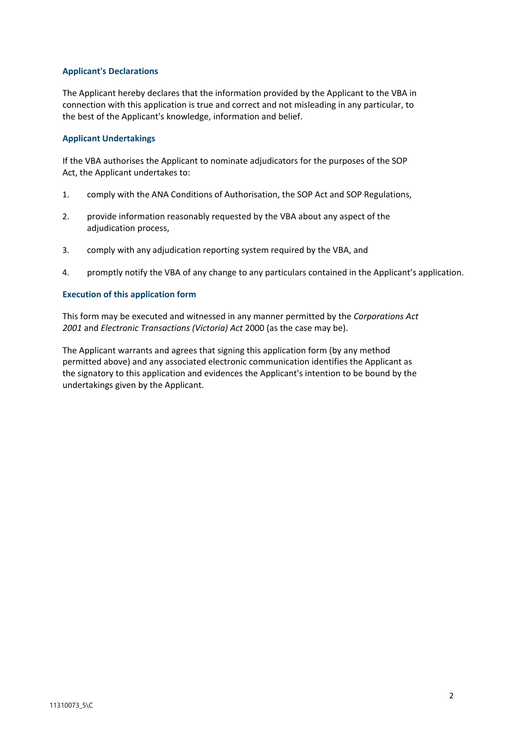# **Applicant's Declarations**

The Applicant hereby declares that the information provided by the Applicant to the VBA in connection with this application is true and correct and not misleading in any particular, to the best of the Applicant's knowledge, information and belief.

# <span id="page-3-0"></span>**Applicant Undertakings**

If the VBA authorises the Applicant to nominate adjudicators for the purposes of the SOP Act, the Applicant undertakes to:

- 1. comply with the ANA Conditions of Authorisation, the SOP Act and SOP Regulations,
- 2. provide information reasonably requested by the VBA about any aspect of the adjudication process,
- 3. comply with any adjudication reporting system required by the VBA, and
- 4. promptly notify the VBA of any change to any particulars contained in the Applicant's application.

# <span id="page-3-1"></span>**Execution of this application form**

This form may be executed and witnessed in any manner permitted by the *Corporations Act 2001* and *Electronic Transactions (Victoria) Act* 2000 (as the case may be).

The Applicant warrants and agrees that signing this application form (by any method permitted above) and any associated electronic communication identifies the Applicant as the signatory to this application and evidences the Applicant's intention to be bound by the undertakings given by the Applicant.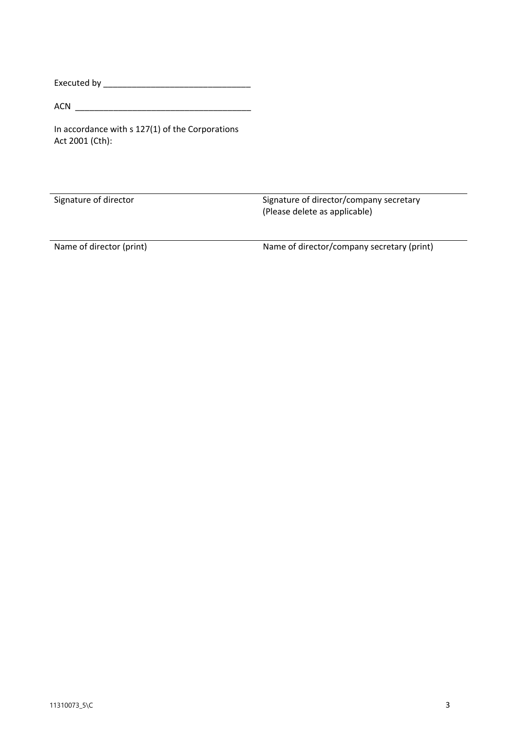Executed by \_\_\_\_\_\_\_\_\_\_\_\_\_\_\_\_\_\_\_\_\_\_\_\_\_\_\_\_\_\_\_

ACN \_\_\_\_\_\_\_\_\_\_\_\_\_\_\_\_\_\_\_\_\_\_\_\_\_\_\_\_\_\_\_\_\_\_\_\_\_

In accordance with s 127(1) of the Corporations Act 2001 (Cth):

Signature of director Signature of director/company secretary (Please delete as applicable)

Name of director (print) Name of director/company secretary (print)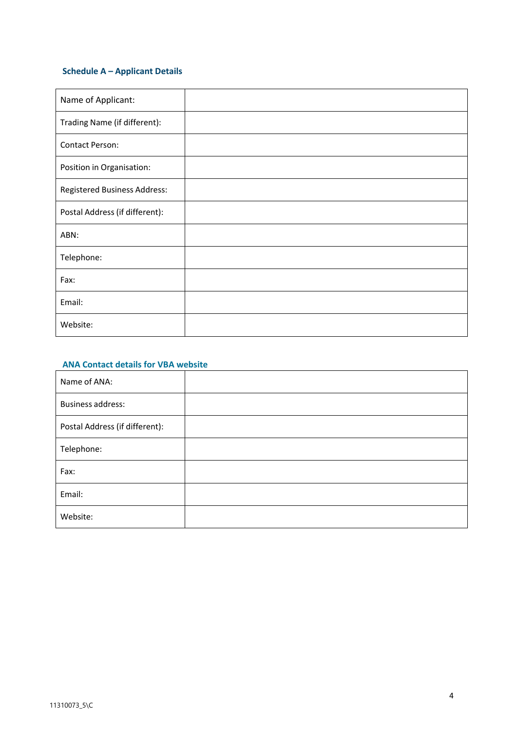# <span id="page-5-0"></span>**Schedule A – Applicant Details**

| Name of Applicant:             |  |
|--------------------------------|--|
| Trading Name (if different):   |  |
| Contact Person:                |  |
| Position in Organisation:      |  |
| Registered Business Address:   |  |
| Postal Address (if different): |  |
| ABN:                           |  |
| Telephone:                     |  |
| Fax:                           |  |
| Email:                         |  |
| Website:                       |  |

# **ANA Contact details for VBA website**

| Name of ANA:                   |  |
|--------------------------------|--|
| <b>Business address:</b>       |  |
| Postal Address (if different): |  |
| Telephone:                     |  |
| Fax:                           |  |
| Email:                         |  |
| Website:                       |  |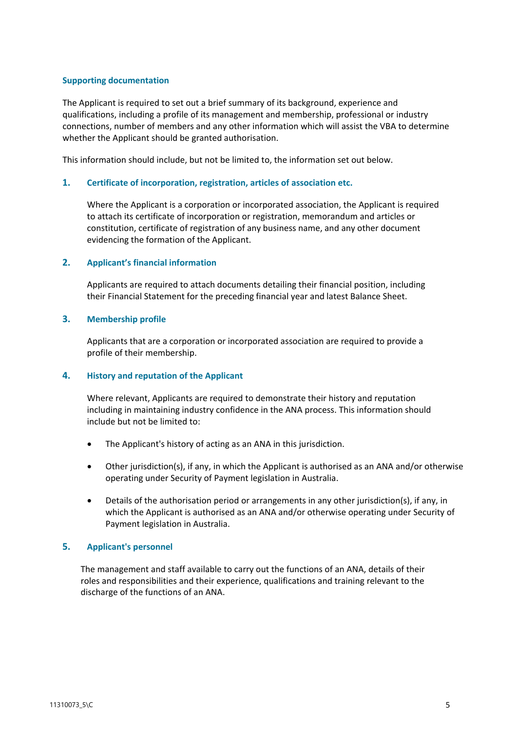#### **Supporting documentation**

The Applicant is required to set out a brief summary of its background, experience and qualifications, including a profile of its management and membership, professional or industry connections, number of members and any other information which will assist the VBA to determine whether the Applicant should be granted authorisation.

This information should include, but not be limited to, the information set out below.

#### **1. Certificate of incorporation, registration, articles of association etc.**

Where the Applicant is a corporation or incorporated association, the Applicant is required to attach its certificate of incorporation or registration, memorandum and articles or constitution, certificate of registration of any business name, and any other document evidencing the formation of the Applicant.

#### **2. Applicant's financial information**

Applicants are required to attach documents detailing their financial position, including their Financial Statement for the preceding financial year and latest Balance Sheet.

#### **3. Membership profile**

Applicants that are a corporation or incorporated association are required to provide a profile of their membership.

## **4. History and reputation of the Applicant**

Where relevant, Applicants are required to demonstrate their history and reputation including in maintaining industry confidence in the ANA process. This information should include but not be limited to:

- The Applicant's history of acting as an ANA in this jurisdiction.
- Other jurisdiction(s), if any, in which the Applicant is authorised as an ANA and/or otherwise operating under Security of Payment legislation in Australia.
- Details of the authorisation period or arrangements in any other jurisdiction(s), if any, in which the Applicant is authorised as an ANA and/or otherwise operating under Security of Payment legislation in Australia.

## **5. Applicant's personnel**

The management and staff available to carry out the functions of an ANA, details of their roles and responsibilities and their experience, qualifications and training relevant to the discharge of the functions of an ANA.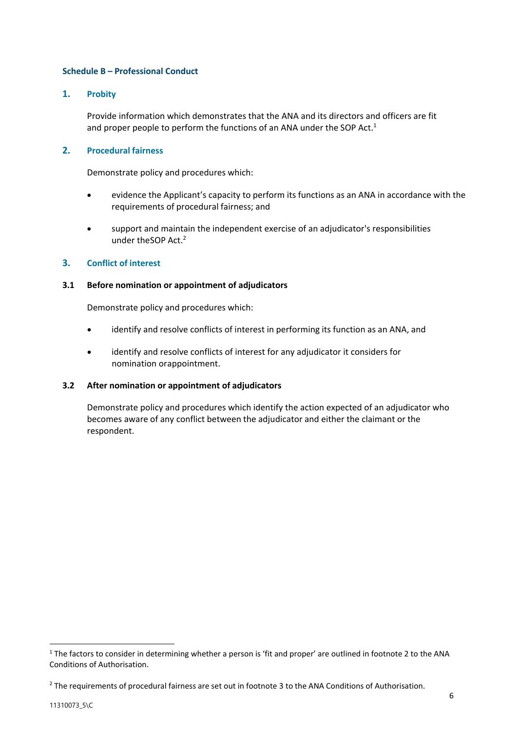# <span id="page-7-0"></span>**Schedule B – Professional Conduct**

# **1. Probity**

Provide information which demonstrates that the ANA and its directors and officers are fit and proper people to perform the functions of an ANA under the SOP Act.<sup>1</sup>

# **2. Procedural fairness**

Demonstrate policy and procedures which:

- evidence the Applicant's capacity to perform its functions as an ANA in accordance with the requirements of procedural fairness; and
- support and maintain the independent exercise of an adjudicator's responsibilities under the SOP Act.<sup>2</sup>

# **3. Conflict of interest**

## **3.1 Before nomination or appointment of adjudicators**

Demonstrate policy and procedures which:

- identify and resolve conflicts of interest in performing its function as an ANA, and
- identify and resolve conflicts of interest for any adjudicator it considers for nomination orappointment.

## **3.2 After nomination or appointment of adjudicators**

Demonstrate policy and procedures which identify the action expected of an adjudicator who becomes aware of any conflict between the adjudicator and either the claimant or the respondent.

**.** 

 $1$  The factors to consider in determining whether a person is 'fit and proper' are outlined in footnote 2 to the ANA Conditions of Authorisation.

<sup>&</sup>lt;sup>2</sup> The requirements of procedural fairness are set out in footnote 3 to the ANA Conditions of Authorisation.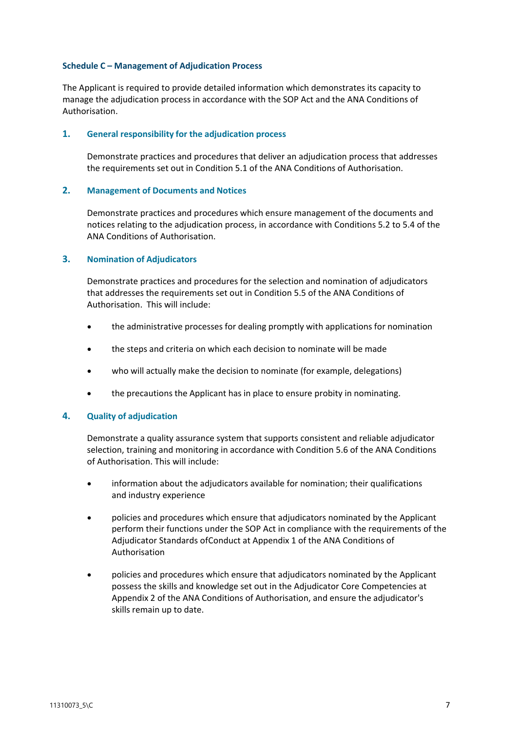#### <span id="page-8-0"></span>**Schedule C – Management of Adjudication Process**

The Applicant is required to provide detailed information which demonstrates its capacity to manage the adjudication process in accordance with the SOP Act and the ANA Conditions of Authorisation.

#### **1. General responsibility for the adjudication process**

Demonstrate practices and procedures that deliver an adjudication process that addresses the requirements set out in Condition 5.1 of the ANA Conditions of Authorisation.

#### **2. Management of Documents and Notices**

Demonstrate practices and procedures which ensure management of the documents and notices relating to the adjudication process, in accordance with Conditions 5.2 to 5.4 of the ANA Conditions of Authorisation.

#### **3. Nomination of Adjudicators**

Demonstrate practices and procedures for the selection and nomination of adjudicators that addresses the requirements set out in Condition 5.5 of the ANA Conditions of Authorisation. This will include:

- the administrative processes for dealing promptly with applications for nomination
- the steps and criteria on which each decision to nominate will be made
- who will actually make the decision to nominate (for example, delegations)
- the precautions the Applicant has in place to ensure probity in nominating.

## **4. Quality of adjudication**

Demonstrate a quality assurance system that supports consistent and reliable adjudicator selection, training and monitoring in accordance with Condition 5.6 of the ANA Conditions of Authorisation. This will include:

- information about the adjudicators available for nomination; their qualifications and industry experience
- policies and procedures which ensure that adjudicators nominated by the Applicant perform their functions under the SOP Act in compliance with the requirements of the Adjudicator Standards ofConduct at Appendix 1 of the ANA Conditions of Authorisation
- policies and procedures which ensure that adjudicators nominated by the Applicant possess the skills and knowledge set out in the Adjudicator Core Competencies at Appendix 2 of the ANA Conditions of Authorisation, and ensure the adjudicator's skills remain up to date.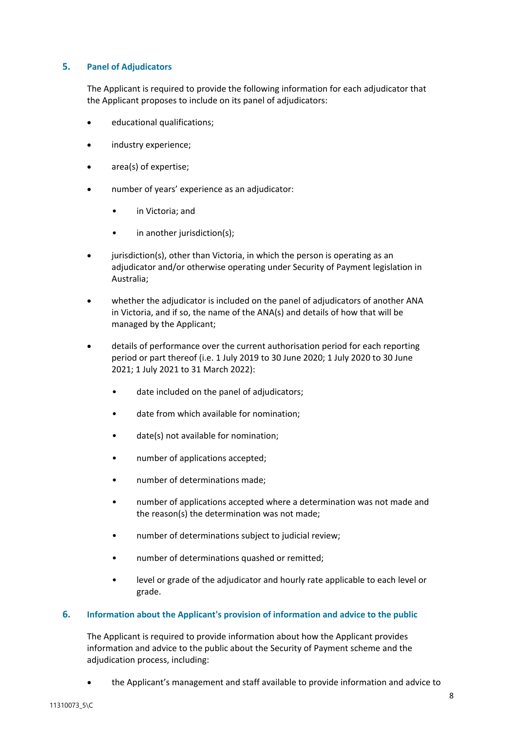# **5. Panel of Adjudicators**

The Applicant is required to provide the following information for each adjudicator that the Applicant proposes to include on its panel of adjudicators:

- educational qualifications;
- industry experience;
- area(s) of expertise;
- number of years' experience as an adjudicator:
	- in Victoria; and
	- in another jurisdiction(s);
- jurisdiction(s), other than Victoria, in which the person is operating as an adjudicator and/or otherwise operating under Security of Payment legislation in Australia;
- whether the adjudicator is included on the panel of adjudicators of another ANA in Victoria, and if so, the name of the ANA(s) and details of how that will be managed by the Applicant;
- details of performance over the current authorisation period for each reporting period or part thereof (i.e. 1 July 2019 to 30 June 2020; 1 July 2020 to 30 June 2021; 1 July 2021 to 31 March 2022):
	- date included on the panel of adjudicators;
	- date from which available for nomination:
	- date(s) not available for nomination;
	- number of applications accepted;
	- number of determinations made;
	- number of applications accepted where a determination was not made and the reason(s) the determination was not made;
	- number of determinations subject to judicial review;
	- number of determinations quashed or remitted;
	- level or grade of the adjudicator and hourly rate applicable to each level or grade.

## **6. Information about the Applicant's provision of information and advice to the public**

The Applicant is required to provide information about how the Applicant provides information and advice to the public about the Security of Payment scheme and the adjudication process, including:

the Applicant's management and staff available to provide information and advice to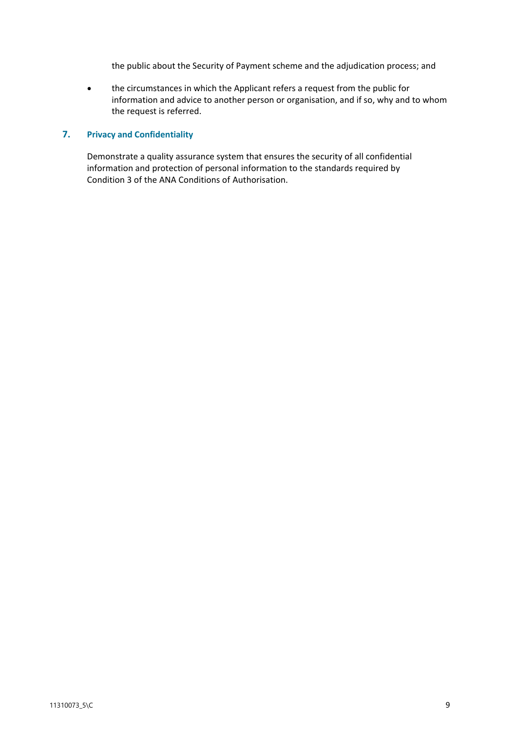the public about the Security of Payment scheme and the adjudication process; and

 the circumstances in which the Applicant refers a request from the public for information and advice to another person or organisation, and if so, why and to whom the request is referred.

#### **7. Privacy and Confidentiality**

Demonstrate a quality assurance system that ensures the security of all confidential information and protection of personal information to the standards required by Condition 3 of the ANA Conditions of Authorisation.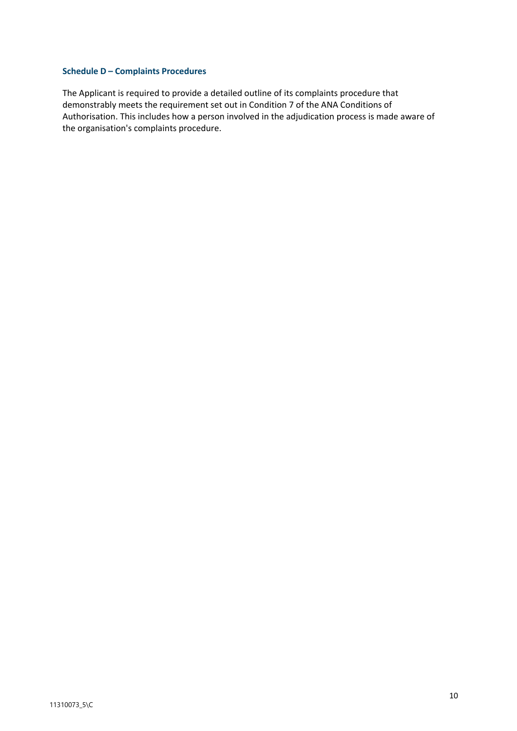## <span id="page-11-0"></span>**Schedule D – Complaints Procedures**

The Applicant is required to provide a detailed outline of its complaints procedure that demonstrably meets the requirement set out in Condition 7 of the ANA Conditions of Authorisation. This includes how a person involved in the adjudication process is made aware of the organisation's complaints procedure.